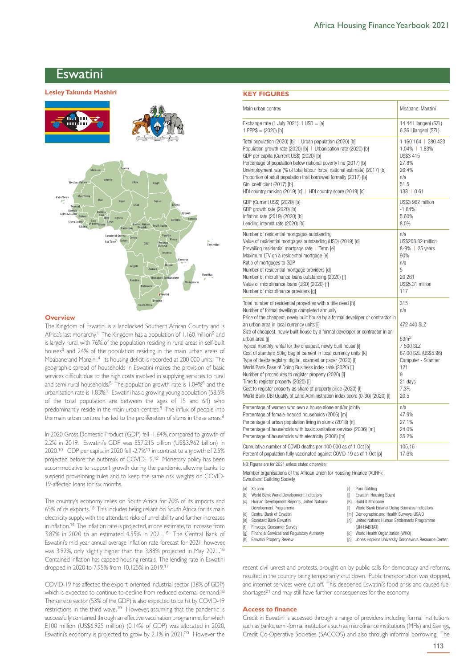# Eswatini

# Eswatini **Lesley Takunda Mashiri**



#### **Overview**

The Kingdom of Eswatini is a landlocked Southern African Country and is Africa's last monarchy.<sup>1</sup> The Kingdom has a population of 1.160 million<sup>2</sup> and is largely rural, with 76% of the population residing in rural areas in self-built houses<sup>3</sup> and 24% of the population residing in the main urban areas of Mbabane and Manzini.<sup>4</sup> Its housing deficit is recorded at 200 000 units. The geographic spread of households in Eswatini makes the provision of basic services difficult due to the high costs involved in supplying services to rural and semi-rural households.<sup>5</sup> The population growth rate is 1.04%<sup>6</sup> and the urbanisation rate is 1.83%.<sup>7</sup> Eswatini has a growing young population (58.5% of the total population are between the ages of 15 and 64) who predominantly reside in the main urban centres.<sup>8</sup> The influx of people into the main urban centres has led to the proliferation of slums in these areas.<sup>9</sup>

In 2020 Gross Domestic Product (GDP) fell -1.64%, compared to growth of 2.2% in 2019. Eswatini's GDP was E57.215 billion (US\$3.962 billion) in 2020.<sup>10</sup> GDP per capita in 2020 fell -2.7%<sup>11</sup> in contrast to a growth of 2.5% projected before the outbreak of COVID-19.<sup>12</sup> Monetary policy has been accommodative to support growth during the pandemic, allowing banks to suspend provisioning rules and to keep the same risk weights on COVID-19-affected loans for six months.

The country's economy relies on South Africa for 70% of its imports and 65% of its exports.<sup>13</sup> This includes being reliant on South Africa for its main electricity supply, with the attendant risks of unreliability and further increases in inflation.<sup>14</sup> The inflation rate is projected, in one estimate, to increase from 3.87% in 2020 to an estimated 4.55% in 2021.<sup>15</sup> The Central Bank of Eswatini's mid-year annual average inflation rate forecast for 2021, however, was 3.92%, only slightly higher than the 3.88% projected in May 2021.<sup>16</sup> Contained inflation has capped housing rentals. The lending rate in Eswatini dropped in 2020 to 7,95% from 10,125% in 2019.<sup>17</sup>

COVID-19 has affected the export-oriented industrial sector (36% of GDP) which is expected to continue to decline from reduced external demand.<sup>18</sup> The service sector (53% of the GDP) is also expected to be hit by COVID-19 restrictions in the third wave.<sup>19</sup> However, assuming that the pandemic is successfully contained through an effective vaccination programme, for which E100 million (US\$6.925 million) (0.14% of GDP) was allocated in 2020, Eswatini's economy is projected to grow by 2.1% in 2021.<sup>20</sup> However the

# **KEY FIGURES**

| Main urban centres                                                                                                                                                                                                                                                                                                                                                                                                                                                                                                                                                                                                                                                                                                                                                                                                                                                 | Mbabane, Manzini                                                                                                                                |
|--------------------------------------------------------------------------------------------------------------------------------------------------------------------------------------------------------------------------------------------------------------------------------------------------------------------------------------------------------------------------------------------------------------------------------------------------------------------------------------------------------------------------------------------------------------------------------------------------------------------------------------------------------------------------------------------------------------------------------------------------------------------------------------------------------------------------------------------------------------------|-------------------------------------------------------------------------------------------------------------------------------------------------|
| Exchange rate $(1$ July 2021): $1$ USD = [a]                                                                                                                                                                                                                                                                                                                                                                                                                                                                                                                                                                                                                                                                                                                                                                                                                       | 14.44 Lilangeni (SZL)                                                                                                                           |
| 1 PPP $$ = (2020)$ [b]                                                                                                                                                                                                                                                                                                                                                                                                                                                                                                                                                                                                                                                                                                                                                                                                                                             | 6.36 Lilangeni (SZL)                                                                                                                            |
| Total population (2020) [b]   Urban population (2020) [b]                                                                                                                                                                                                                                                                                                                                                                                                                                                                                                                                                                                                                                                                                                                                                                                                          | 1160164   280423                                                                                                                                |
| Population growth rate (2020) [b]   Urbanisation rate (2020) [b]                                                                                                                                                                                                                                                                                                                                                                                                                                                                                                                                                                                                                                                                                                                                                                                                   | 1.04%   1.83%                                                                                                                                   |
| GDP per capita (Current US\$) (2020) [b]                                                                                                                                                                                                                                                                                                                                                                                                                                                                                                                                                                                                                                                                                                                                                                                                                           | US\$3 415                                                                                                                                       |
| Percentage of population below national poverty line (2017) [b]                                                                                                                                                                                                                                                                                                                                                                                                                                                                                                                                                                                                                                                                                                                                                                                                    | 27.8%                                                                                                                                           |
| Unemployment rate (% of total labour force, national estimate) (2017) [b]                                                                                                                                                                                                                                                                                                                                                                                                                                                                                                                                                                                                                                                                                                                                                                                          | 26.4%                                                                                                                                           |
| Proportion of adult population that borrowed formally (2017) [b]                                                                                                                                                                                                                                                                                                                                                                                                                                                                                                                                                                                                                                                                                                                                                                                                   | n/a                                                                                                                                             |
| Gini coefficient (2017) [b]                                                                                                                                                                                                                                                                                                                                                                                                                                                                                                                                                                                                                                                                                                                                                                                                                                        | 51.5                                                                                                                                            |
| HDI country ranking (2019) [c]   HDI country score (2019) [c]                                                                                                                                                                                                                                                                                                                                                                                                                                                                                                                                                                                                                                                                                                                                                                                                      | 138   0.61                                                                                                                                      |
| GDP (Current US\$) (2020) [b]                                                                                                                                                                                                                                                                                                                                                                                                                                                                                                                                                                                                                                                                                                                                                                                                                                      | US\$3 962 million                                                                                                                               |
| GDP growth rate (2020) [b]                                                                                                                                                                                                                                                                                                                                                                                                                                                                                                                                                                                                                                                                                                                                                                                                                                         | $-1.64%$                                                                                                                                        |
| Inflation rate (2019) (2020) [b]                                                                                                                                                                                                                                                                                                                                                                                                                                                                                                                                                                                                                                                                                                                                                                                                                                   | 5.60%                                                                                                                                           |
| Lending interest rate (2020) [b]                                                                                                                                                                                                                                                                                                                                                                                                                                                                                                                                                                                                                                                                                                                                                                                                                                   | 8.0%                                                                                                                                            |
| Number of residential mortgages outstanding                                                                                                                                                                                                                                                                                                                                                                                                                                                                                                                                                                                                                                                                                                                                                                                                                        | n/a                                                                                                                                             |
| Value of residential mortgages outstanding (USD) (2019) [d]                                                                                                                                                                                                                                                                                                                                                                                                                                                                                                                                                                                                                                                                                                                                                                                                        | US\$208.82 million                                                                                                                              |
| Prevailing residential mortgage rate   Term [e]                                                                                                                                                                                                                                                                                                                                                                                                                                                                                                                                                                                                                                                                                                                                                                                                                    | 8-9%   25 years                                                                                                                                 |
| Maximum LTV on a residential mortgage [e]                                                                                                                                                                                                                                                                                                                                                                                                                                                                                                                                                                                                                                                                                                                                                                                                                          | 90%                                                                                                                                             |
| Ratio of mortgages to GDP                                                                                                                                                                                                                                                                                                                                                                                                                                                                                                                                                                                                                                                                                                                                                                                                                                          | n/a                                                                                                                                             |
| Number of residential mortgage providers [d]                                                                                                                                                                                                                                                                                                                                                                                                                                                                                                                                                                                                                                                                                                                                                                                                                       | 5                                                                                                                                               |
| Number of microfinance loans outstanding (2020) [f]                                                                                                                                                                                                                                                                                                                                                                                                                                                                                                                                                                                                                                                                                                                                                                                                                | 20 261                                                                                                                                          |
| Value of microfinance loans (USD) (2020) [f]                                                                                                                                                                                                                                                                                                                                                                                                                                                                                                                                                                                                                                                                                                                                                                                                                       | US\$5.31 million                                                                                                                                |
| Number of microfinance providers [g]                                                                                                                                                                                                                                                                                                                                                                                                                                                                                                                                                                                                                                                                                                                                                                                                                               | 117                                                                                                                                             |
| Total number of residential properties with a title deed [h]<br>Number of formal dwellings completed annually<br>Price of the cheapest, newly built house by a formal developer or contractor in<br>an urban area in local currency units [i]<br>Size of cheapest, newly built house by a formal developer or contractor in an<br>urban area [j]<br>Typical monthly rental for the cheapest, newly built house [i]<br>Cost of standard 50kg bag of cement in local currency units [k]<br>Type of deeds registry: digital, scanned or paper (2020) [I]<br>World Bank Ease of Doing Business index rank (2020) [I]<br>Number of procedures to register property (2020) [I]<br>Time to register property (2020) [I]<br>Cost to register property as share of property price (2020) [I]<br>World Bank DBI Quality of Land Administration index score (0-30) (2020) [I] | 315<br>n/a<br>472 440 SLZ<br>53 <sup>m2</sup><br>7 500 SLZ<br>87.00 SZL (US\$5.96)<br>Computer - Scanner<br>121<br>9<br>21 days<br>7.3%<br>20.5 |
| Percentage of women who own a house alone and/or jointly                                                                                                                                                                                                                                                                                                                                                                                                                                                                                                                                                                                                                                                                                                                                                                                                           | n/a                                                                                                                                             |
| Percentage of female-headed households (2006) [m]                                                                                                                                                                                                                                                                                                                                                                                                                                                                                                                                                                                                                                                                                                                                                                                                                  | 47.9%                                                                                                                                           |
| Percentage of urban population living in slums (2018) [n]                                                                                                                                                                                                                                                                                                                                                                                                                                                                                                                                                                                                                                                                                                                                                                                                          | 27.1%                                                                                                                                           |
| Percentage of households with basic sanitation services (2006) [m]                                                                                                                                                                                                                                                                                                                                                                                                                                                                                                                                                                                                                                                                                                                                                                                                 | 24.0%                                                                                                                                           |
| Percentage of households with electricity (2006) [m]                                                                                                                                                                                                                                                                                                                                                                                                                                                                                                                                                                                                                                                                                                                                                                                                               | 35.2%                                                                                                                                           |
| Cumulative number of COVID deaths per 100 000 as of 1 Oct [o]<br>Percent of population fully vaccinated against COVID-19 as of 1 Oct [p]<br>NB: Figures are for 2021 unless stated otherwise.                                                                                                                                                                                                                                                                                                                                                                                                                                                                                                                                                                                                                                                                      | 105.16<br>17.6%                                                                                                                                 |
| Member organisations of the African Union for Housing Finance (AUHF):<br>Swaziland Building Society                                                                                                                                                                                                                                                                                                                                                                                                                                                                                                                                                                                                                                                                                                                                                                |                                                                                                                                                 |

[a] Xe.com [b] World Bank World Development Indicators

- [i] Pam Golding
- [i] Eswatini Housing Board
- [c] Human Development Reports, United Nations Development Programme [d] Central Bank of Eswatini Standard Bank Eswatini [K] Build it Mbabane [l] World Bank Ease of Doing Business Indicators ...<br>[m] Demographic and Health Surveys, USAID [n] United Nations Human Settlements Programme
- [f] Finscope Consumer Survey
- [g] Financial Services and Regulatory Authority
- [h] Fswatini Property Review
- (UN-HABITAT) [o] World Health Organization (WHO)
- [p] Johns Hopkins University Coronavirus Resource Center

recent civil unrest and protests, brought on by public calls for democracy and reforms, resulted in the country being temporarily shut down. Public transportation was stopped, and internet services were cut off. This deepened Eswatini's food crisis and caused fuel shortages<sup>21</sup> and may still have further consequences for the economy.

#### **Access to finance**

Credit in Eswatini is accessed through a range of providers including formal institutions such as banks, semi-formal institutions such as microfinance institutions (MFIs) and Savings, Credit Co-Operative Societies (SACCOS) and also through informal borrowing. The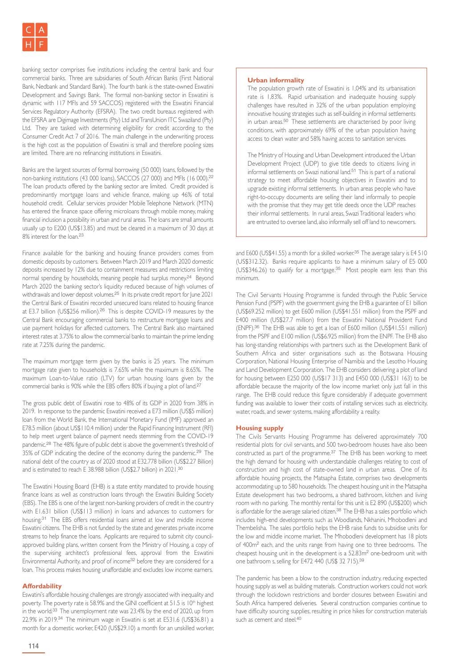banking sector comprises five institutions including the central bank and four commercial banks. Three are subsidiaries of South African Banks (First National Bank, Nedbank and Standard Bank). The fourth bank is the state-owned Eswatini Development and Savings Bank. The formal non-banking sector in Eswatini is dynamic with 117 MFIs and 59 SACCOS) registered with the Eswatini Financial Services Regulatory Authority (EFSRA). The two credit bureaus registered with the EFSRA are Digimage Investments (Pty) Ltd and TransUnion ITC Swaziland (Pty) Ltd. They are tasked with determining eligibility for credit according to the Consumer Credit Act 7 of 2016. The main challenge in the underwriting process is the high cost as the population of Eswatini is small and therefore pooling sizes are limited. There are no refinancing institutions in Eswatini.

Banks are the largest sources of formal borrowing (50 000) loans, followed by the non-banking institutions (43 000 loans), SACCOS (27 000) and MFIs (16 000).<sup>22</sup> The loan products offered by the banking sector are limited. Credit provided is predominantly mortgage loans and vehicle finance, making up 46% of total household credit. Cellular services provider Mobile Telephone Network (MTN) has entered the finance space offering microloans through mobile money, making financial inclusion a possibility in urban and rural areas. The loans are small amounts usually up to E200 (US\$13.85) and must be cleared in a maximum of 30 days at 8% interest for the loan.<sup>23</sup>

Finance available for the banking and housing finance providers comes from domestic deposits by customers. Between March 2019 and March 2020 domestic deposits increased by 12% due to containment measures and restrictions limiting normal spending by households, meaning people had surplus money.<sup>24</sup> Beyond March 2020 the banking sector's liquidity reduced because of high volumes of withdrawals and lower deposit volumes.<sup>25</sup> In its private credit report for lune 2021 the Central Bank of Eswatini recorded unsecured loans related to housing finance at E3.7 billion (US\$256 million).<sup>26</sup> This is despite COVID-19 measures by the Central Bank encouraging commercial banks to restructure mortgage loans and use payment holidays for affected customers. The Central Bank also maintained interest rates at 3.75% to allow the commercial banks to maintain the prime lending rate at 7.25% during the pandemic.

The maximum mortgage term given by the banks is 25 years. The minimum mortgage rate given to households is 7.65% while the maximum is 8.65%. The maximum Loan-to-Value ratio (LTV) for urban housing loans given by the commercial banks is 90% while the EBS offers 80% if buying a plot of land.<sup>27</sup>

The gross public debt of Eswatini rose to 48% of its GDP in 2020 from 38% in 2019. In response to the pandemic Eswatini received a E73 million (US\$5 million) loan from the World Bank, the International Monetary Fund (IMF) approved an E78.5 million (about US\$110.4 million) under the Rapid Financing Instrument (RFI) to help meet urgent balance of payment needs stemming from the COVID-19 pandemic.<sup>28</sup> The 48% figure of public debt is above the government's threshold of 35% of GDP indicating the decline of the economy during the pandemic.<sup>29</sup> The national debt of the country as of 2020 stood at E32.778 billion (US\$2.27 Billion) and is estimated to reach E 38.988 billion (US\$2.7 billion) in 2021.<sup>30</sup>

The Eswatini Housing Board (EHB) is a state entity mandated to provide housing finance loans as well as construction loans through the Eswatini Building Society (EBS). The EBS is one of the largest non-banking providers of credit in the country with E1.631 billion (US\$113 million) in loans and advances to customers for housing.<sup>31</sup> The EBS offers residential loans aimed at low and middle income Eswatini citizens. The EHB is not funded by the state and generates private income streams to help finance the loans. Applicants are required to submit city councilapproved building plans, written consent from the Ministry of Housing, a copy of the supervising architect's professional fees, approval from the Eswatini Environmental Authority, and proof of income<sup>32</sup> before they are considered for a loan. This process makes housing unaffordable and excludes low income earners.

## **Affordability**

Eswatini's affordable housing challenges are strongly associated with inequality and poverty. The poverty rate is 58.9% and the GINI coefficient at 51.5 is 10<sup>th</sup> highest in the world.<sup>33</sup> The unemployment rate was 23.4% by the end of 2020, up from 22.9% in 2019.<sup>34</sup> The minimum wage in Eswatini is set at E531.6 (US\$36.81) a month for a domestic worker, E420 (US\$29.10) a month for an unskilled worker,

### **Urban informality**

The population growth rate of Eswatini is 1,04% and its urbanisation rate is 1,83%. Rapid urbanisation and inadequate housing supply challenges have resulted in 32% of the urban population employing innovative housing strategies such as self-building in informal settlements in urban areas.<sup>50</sup> These settlements are characterised by poor living conditions, with approximately 69% of the urban population having access to clean water and 58% having access to sanitation services.

The Ministry of Housing and Urban Development introduced the Urban Development Project (UDP) to give title deeds to citizens living in informal settlements on Swazi national land.<sup>51</sup> This is part of a national strategy to meet affordable housing objectives in Eswatini and to upgrade existing informal settlements. In urban areas people who have right-to-occupy documents are selling their land informally to people with the promise that they may get title deeds once the UDP reaches their informal settlements. In rural areas, Swazi Traditional leaders who are entrusted to oversee land, also informally sell off land to newcomers.

and E600 (US\$41.55) a month for a skilled worker.<sup>35</sup> The average salary is E4 510 (US\$312.32). Banks require applicants to have a minimum salary of E5 000 (US\$346.26) to qualify for a mortgage.<sup>35</sup> Most people earn less than this minimum.

The Civil Servants Housing Programme is funded through the Public Service Pension Fund (PSPF) with the government giving the EHB a guarantee of E1 billion (US\$69.252 million) to get E600 million (US\$41.551 million) from the PSPF and E400 million (US\$27.7 million) from the Eswatini National Provident Fund (ENPF).<sup>36</sup> The EHB was able to get a loan of E600 million (US\$41.551 million) from the PSPF and E100 million (US\$6.925 million) from the ENPF. The EHB also has long-standing relationships with partners such as the Development Bank of Southern Africa and sister organisations such as the Botswana Housing Corporation, National Housing Enterprise of Namibia and the Lesotho Housing and Land Development Corporation. The EHB considers delivering a plot of land for housing between E250 000 (US\$17 313) and E450 000 (US\$31 163) to be affordable because the majority of the low income market only just fall in this range. The EHB could reduce this figure considerably if adequate government funding was available to lower their costs of installing services such as electricity, water, roads, and sewer systems, making affordability a reality.

#### **Housing supply**

The Civils Servants Housing Programme has delivered approximately 700 residential plots for civil servants, and 500 two-bedroom houses have also been constructed as part of the programme.<sup>37</sup> The EHB has been working to meet the high demand for housing with understandable challenges relating to cost of construction and high cost of state-owned land in urban areas. One of its affordable housing projects, the Matsapha Estate, comprises two developments accommodating up to 580 households. The cheapest housing unit in the Matsapha Estate development has two bedrooms, a shared bathroom, kitchen and living room with no parking. The monthly rental for this unit is E2 890 (US\$200) which is affordable for the average salaried citizen.<sup>38</sup> The EHB has a sales portfolio which includes high-end developments such as Woodlands, Nkhanini, Mhobodleni and Thembelisha. The sales portfolio helps the EHB raise funds to subsidise units for the low and middle income market. The Mhobodleni development has 18 plots of 400m<sup>2</sup> each, and the units range from having one to three bedrooms. The cheapest housing unit in the development is a 52.83m<sup>2</sup> one-bedroom unit with one bathroom s, selling for E472 440 (US\$ 32 715).<sup>39</sup>

The pandemic has been a blow to the construction industry, reducing expected housing supply as well as building materials. Construction workers could not work through the lockdown restrictions and border closures between Eswatini and South Africa hampered deliveries. Several construction companies continue to have difficulty sourcing supplies, resulting in price hikes for construction materials such as cement and steel.<sup>40</sup>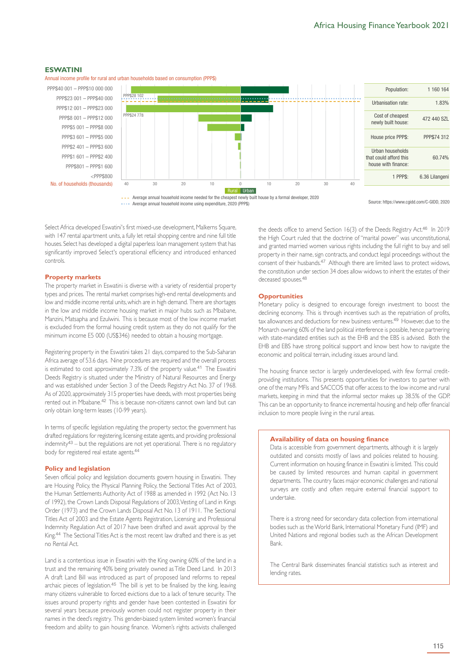#### **ESWATINI**

Annual income profile for rural and urban households based on consumption (PPP\$)

PPP\$40 001 – PPP\$10 000 000 PPP\$23 001 – PPP\$40 000 PPP\$12 001 – PPP\$23 000 PPP\$8 001 – PPP\$12 000 PPP\$5 001 – PPP\$8 000 PPP\$3 601 – PPP\$5 000 PPP\$2 401 – PPP\$3 600 PPP\$1 601 – PPP\$2 400 PPP\$801 – PPP\$1 600 <PPP\$800 No. of households (thousands)



**••••** Average annual household income using expenditure, 2020 (PPP\$)

Source: https://www.cgidd.com/C-GIDD, 2020

Select Africa developed Eswatini's first mixed-use development, Malkerns Square, with 147 rental apartment units, a fully let retail shopping centre and nine full title houses. Select has developed a digital paperless loan management system that has significantly improved Select's operational efficiency and introduced enhanced controls.

#### **Property markets**

The property market in Eswatini is diverse with a variety of residential property types and prices. The rental market comprises high-end rental developments and low and middle income rental units, which are in high demand. There are shortages in the low and middle income housing market in major hubs such as Mbabane, Manzini, Matsapha and Ezulwini. This is because most of the low income market is excluded from the formal housing credit system as they do not qualify for the minimum income E5 000 (US\$346) needed to obtain a housing mortgage.

Registering property in the Eswatini takes 21 days, compared to the Sub-Saharan Africa average of 53.6 days. Nine procedures are required and the overall process is estimated to cost approximately 7.3% of the property value.<sup>41</sup> The Eswatini Deeds Registry is situated under the Ministry of Natural Resources and Energy and was established under Section 3 of the Deeds Registry Act No. 37 of 1968. As of 2020, approximately 315 properties have deeds, with most properties being rented out in Mbabane.<sup>42</sup> This is because non-citizens cannot own land but can only obtain long-term leases (10-99 years).

In terms of specific legislation regulating the property sector, the government has drafted regulations for registering, licensing estate agents, and providing professional indemnity $43$  – but the regulations are not yet operational. There is no regulatory body for registered real estate agents.<sup>44</sup>

#### **Policy and legislation**

Seven official policy and legislation documents govern housing in Eswatini. They are Housing Policy, the Physical Planning Policy, the Sectional Titles Act of 2003, the Human Settlements Authority Act of 1988 as amended in 1992 (Act No. 13 of 1992), the Crown Lands Disposal Regulations of 2003, Vesting of Land in Kings Order (1973) and the Crown Lands Disposal Act No. 13 of 1911. The Sectional Titles Act of 2003 and the Estate Agents Registration, Licensing and Professional Indemnity Regulation Act of 2017 have been drafted and await approval by the King.<sup>44</sup> The Sectional Titles Act is the most recent law drafted and there is as yet no Rental Act.

Land is a contentious issue in Eswatini with the King owning 60% of the land in a trust and the remaining 40% being privately owned as Title Deed Land. In 2013 A draft Land Bill was introduced as part of proposed land reforms to repeal archaic pieces of legislation.<sup>45</sup> The bill is yet to be finalised by the king, leaving many citizens vulnerable to forced evictions due to a lack of tenure security. The issues around property rights and gender have been contested in Eswatini for several years because previously women could not register property in their names in the deed's registry. This gender-biased system limited women's financial freedom and ability to gain housing finance. Women's rights activists challenged the deeds office to amend Section 16(3) of the Deeds Registry Act.<sup>46</sup> In 2019 the High Court ruled that the doctrine of "marital power" was unconstitutional, and granted married women various rights including the full right to buy and sell property in their name, sign contracts, and conduct legal proceedings without the consent of their husbands.<sup>47</sup> Although there are limited laws to protect widows, the constitution under section 34 does allow widows to inherit the estates of their deceased spouses.<sup>48</sup>

#### **Opportunities**

Monetary policy is designed to encourage foreign investment to boost the declining economy. This is through incentives such as the repatriation of profits, tax allowances and deductions for new business ventures.<sup>49</sup> However, due to the Monarch owning 60% of the land political interference is possible, hence partnering with state-mandated entities such as the EHB and the EBS is advised. Both the EHB and EBS have strong political support and know best how to navigate the economic and political terrain, including issues around land.

The housing finance sector is largely underdeveloped, with few formal creditproviding institutions. This presents opportunities for investors to partner with one of the many MFIs and SACCOS that offer access to the low income and rural markets, keeping in mind that the informal sector makes up 38.5% of the GDP. This can be an opportunity to finance incremental housing and help offer financial inclusion to more people living in the rural areas.

# **Availability of data on housing finance**

Data is accessible from government departments, although it is largely outdated and consists mostly of laws and policies related to housing. Current information on housing finance in Eswatini is limited. This could be caused by limited resources and human capital in government departments. The country faces major economic challenges and national surveys are costly and often require external financial support to undertake.

There is a strong need for secondary data collection from international bodies such as the World Bank, International Monetary Fund (IMF) and United Nations and regional bodies such as the African Development Bank.

The Central Bank disseminates financial statistics such as interest and lending rates.